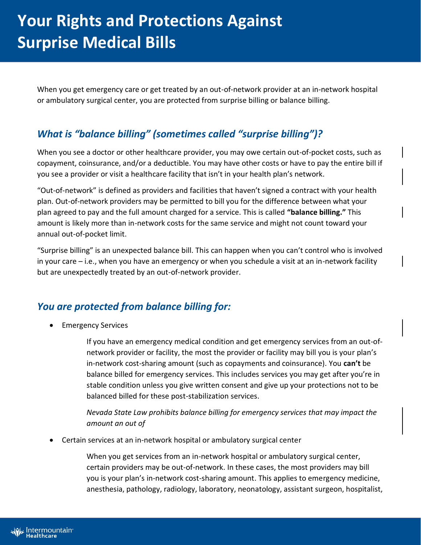When you get emergency care or get treated by an out-of-network provider at an in-network hospital or ambulatory surgical center, you are protected from surprise billing or balance billing.

## *What is "balance billing" (sometimes called "surprise billing")?*

When you see a doctor or other healthcare provider, you may owe certain out-of-pocket costs, such as copayment, coinsurance, and/or a deductible. You may have other costs or have to pay the entire bill if you see a provider or visit a healthcare facility that isn't in your health plan's network.

"Out-of-network" is defined as providers and facilities that haven't signed a contract with your health plan. Out-of-network providers may be permitted to bill you for the difference between what your plan agreed to pay and the full amount charged for a service. This is called **"balance billing."** This amount is likely more than in-network costs for the same service and might not count toward your annual out-of-pocket limit.

"Surprise billing" is an unexpected balance bill. This can happen when you can't control who is involved in your care – i.e., when you have an emergency or when you schedule a visit at an in-network facility but are unexpectedly treated by an out-of-network provider.

## *You are protected from balance billing for:*

Emergency Services

If you have an emergency medical condition and get emergency services from an out-ofnetwork provider or facility, the most the provider or facility may bill you is your plan's in-network cost-sharing amount (such as copayments and coinsurance). You **can't** be balance billed for emergency services. This includes services you may get after you're in stable condition unless you give written consent and give up your protections not to be balanced billed for these post-stabilization services.

*Nevada State Law prohibits balance billing for emergency services that may impact the amount an out of* 

Certain services at an in-network hospital or ambulatory surgical center

When you get services from an in-network hospital or ambulatory surgical center, certain providers may be out-of-network. In these cases, the most providers may bill you is your plan's in-network cost-sharing amount. This applies to emergency medicine, anesthesia, pathology, radiology, laboratory, neonatology, assistant surgeon, hospitalist,